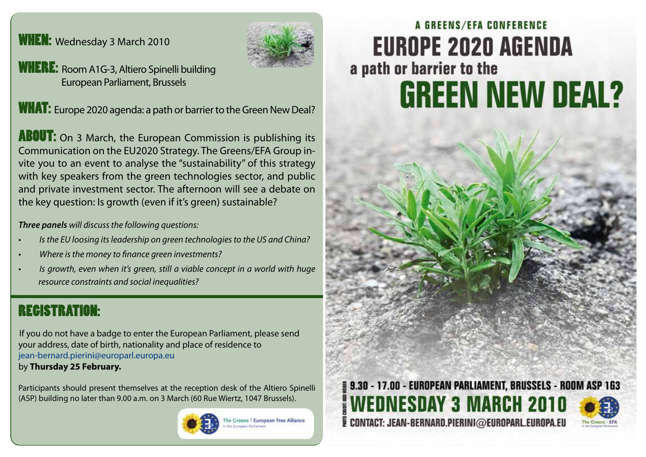### WHEN: Wednesday 3 March 2010



WHERE: Room A1G-3, Altiero Spinelli building European Parliament, Brussels

WHAT: Europe 2020 agenda: a path or barrier to the Green New Deal?

**ABOUT:** On 3 March, the European Commission is publishing its Communication on the EU2020 Strategy. The Greens/EFA Group invite you to an event to analyse the "sustainability" of this strategy with key speakers from the green technologies sector, and public and private investment sector. The afternoon will see a debate on the key question: Is growth (even if it's green) sustainable?

*Three panels will discuss the following questions:* 

- *• Is the EU loosing its leadership on green technologies to the US and China?*
- *• Where is the money to finance green investments?*
- *• Is growth, even when it's green, still a viable concept in a world with huge resource constraints and social inequalities?*

# REGISTRATION:

If you do not have a badge to enter the European Parliament, please send your address, date of birth, nationality and place of residence to jean-bernard.pierini@europarl.europa.eu

by **Thursday 25 February.**

Participants should present themselves at the reception desk of the Altiero Spinelli (ASP) building no later than 9.00 a.m. on 3 March (60 Rue Wiertz, 1047 Brussels).



The Greens | European Free Alliance **Processo Buildering** 

# A GREENS/EFA CONFERENCE **EUROPE 2020 AGENDA** a path or barrier to the **GREEN NEW DEAL?**